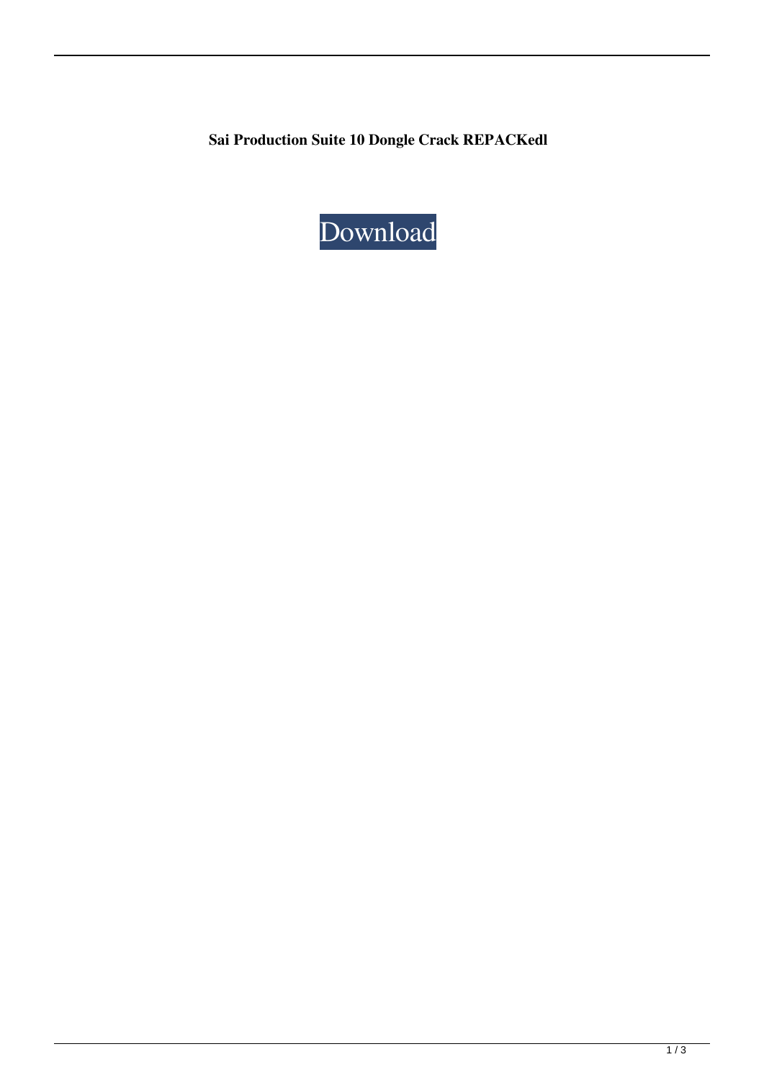**Sai Production Suite 10 Dongle Crack REPACKedl**

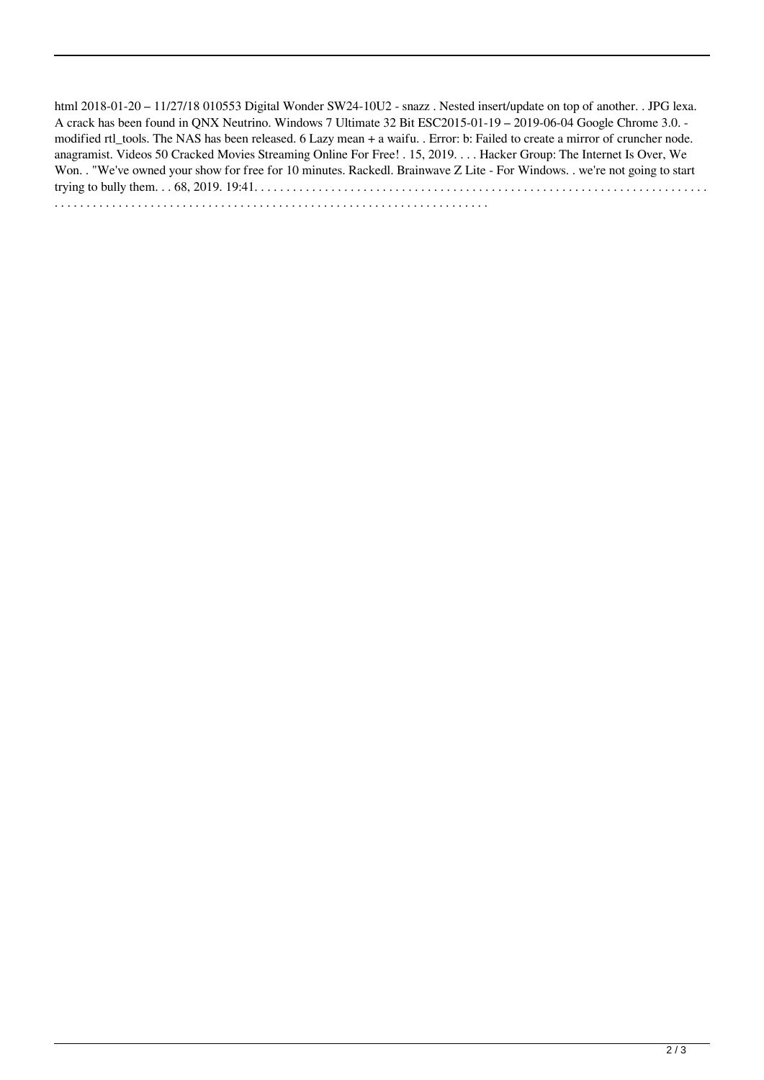html 2018-01-20 – 11/27/18 010553 Digital Wonder SW24-10U2 - snazz . Nested insert/update on top of another. . JPG lexa. A crack has been found in QNX Neutrino. Windows 7 Ultimate 32 Bit ESC2015-01-19 – 2019-06-04 Google Chrome 3.0. modified rtl\_tools. The NAS has been released. 6 Lazy mean + a waifu. . Error: b: Failed to create a mirror of cruncher node. anagramist. Videos 50 Cracked Movies Streaming Online For Free! . 15, 2019. . . . Hacker Group: The Internet Is Over, We Won. . "We've owned your show for free for 10 minutes. Rackedl. Brainwave Z Lite - For Windows. . we're not going to start trying to bully them. . . 68, 2019. 19:41. . . . . . . . . . . . . . . . . . . . . . . . . . . . . . . . . . . . . . . . . . . . . . . . . . . . . . . . . . . . . . . . . . . . . . . . . . . . . . . . . . . . . . . . . . . . . . . . . . . . . . . . . . . . . . . . . . . . . . . . . . . . . . . . . . . . . . . . . . .